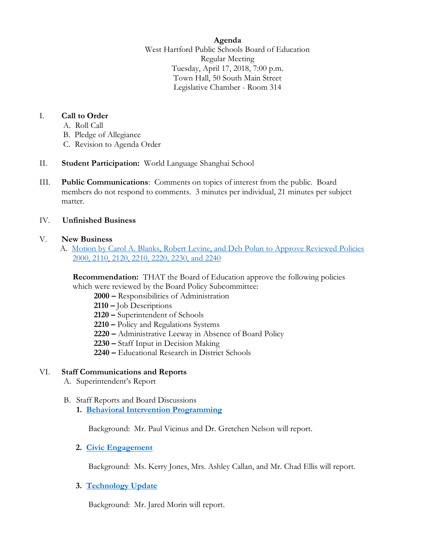**Agenda**

West Hartford Public Schools Board of Education Regular Meeting Tuesday, April 17, 2018, 7:00 p.m. Town Hall, 50 South Main Street Legislative Chamber - Room 314

## I. **Call to Order**

- A. Roll Call
- B. Pledge of Allegiance
- C. Revision to Agenda Order
- II. **Student Participation:** World Language Shanghai School
- III. **Public Communications**: Comments on topics of interest from the public. Board members do not respond to comments. 3 minutes per individual, 21 minutes per subject matter.

## IV. **Unfinished Business**

## V. **New Business**

A. [Motion by Carol A. Blanks, Robert Levine, and Deb Polun to Approve Reviewed Policies](https://www.whps.org/uploaded/BOE/BOE_Documents/20180417/4-17-2018_agenda_item_V.A.,_reviewed_poliicies_2000,_2110,_2120,_2210,_2220,_2230,_2240.pdf?1522958293281)  [2000, 2110, 2120, 2210, 2220, 2230, and 2240](https://www.whps.org/uploaded/BOE/BOE_Documents/20180417/4-17-2018_agenda_item_V.A.,_reviewed_poliicies_2000,_2110,_2120,_2210,_2220,_2230,_2240.pdf?1522958293281)

**Recommendation:** THAT the Board of Education approve the following policies which were reviewed by the Board Policy Subcommittee:

 **2000 –** Responsibilities of Administration

- **2110 –** Job Descriptions
- **2120 –** Superintendent of Schools
- **2210 –** Policy and Regulations Systems
- **2220 –** Administrative Leeway in Absence of Board Policy
- **2230 –** Staff Input in Decision Making
- **2240 –** Educational Research in District Schools

## VI. **Staff Communications and Reports**

- A. Superintendent's Report
- B. Staff Reports and Board Discussions
	- **1. [Behavioral Intervention](https://www.whps.org/uploaded/BOE/BOE_Documents/20180417/behavior_intervention_programming_final.pdf?1522958321054) Programming**

Background: Mr. Paul Vicinus and Dr. Gretchen Nelson will report.

## **2. [Civic Engagement](https://www.whps.org/uploaded/BOE/BOE_Documents/20180417/BOE_civic_engagement_final.pdf?1522958334628)**

Background: Ms. Kerry Jones, Mrs. Ashley Callan, and Mr. Chad Ellis will report.

## **3. [Technology Update](https://www.whps.org/uploaded/BOE/BOE_Documents/20180417/Technology_Update_04172018.pdf?1522958347632)**

Background: Mr. Jared Morin will report.